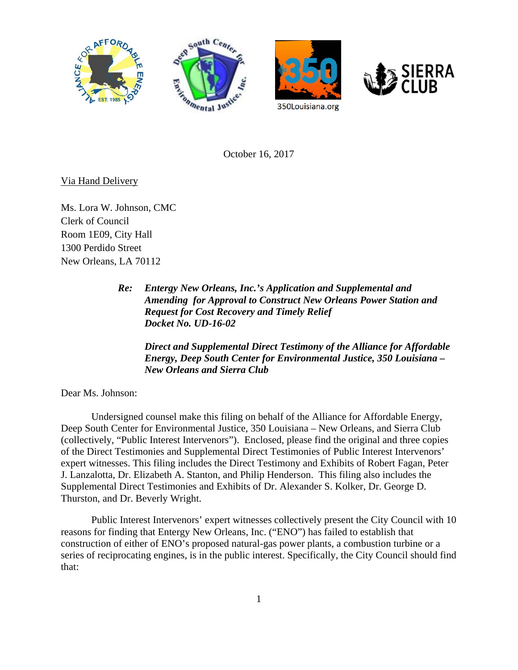





October 16, 2017

## Via Hand Delivery

Ms. Lora W. Johnson, CMC Clerk of Council Room 1E09, City Hall 1300 Perdido Street New Orleans, LA 70112

> *Re: Entergy New Orleans, Inc.'s Application and Supplemental and Amending for Approval to Construct New Orleans Power Station and Request for Cost Recovery and Timely Relief Docket No. UD-16-02*

*Direct and Supplemental Direct Testimony of the Alliance for Affordable Energy, Deep South Center for Environmental Justice, 350 Louisiana – New Orleans and Sierra Club* 

Dear Ms. Johnson:

Undersigned counsel make this filing on behalf of the Alliance for Affordable Energy, Deep South Center for Environmental Justice, 350 Louisiana – New Orleans, and Sierra Club (collectively, "Public Interest Intervenors"). Enclosed, please find the original and three copies of the Direct Testimonies and Supplemental Direct Testimonies of Public Interest Intervenors' expert witnesses. This filing includes the Direct Testimony and Exhibits of Robert Fagan, Peter J. Lanzalotta, Dr. Elizabeth A. Stanton, and Philip Henderson. This filing also includes the Supplemental Direct Testimonies and Exhibits of Dr. Alexander S. Kolker, Dr. George D. Thurston, and Dr. Beverly Wright.

Public Interest Intervenors' expert witnesses collectively present the City Council with 10 reasons for finding that Entergy New Orleans, Inc. ("ENO") has failed to establish that construction of either of ENO's proposed natural-gas power plants, a combustion turbine or a series of reciprocating engines, is in the public interest. Specifically, the City Council should find that: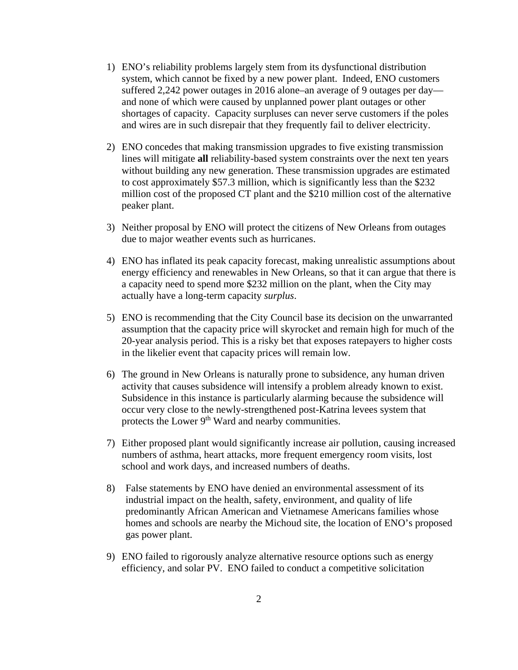- 1) ENO's reliability problems largely stem from its dysfunctional distribution system, which cannot be fixed by a new power plant. Indeed, ENO customers suffered 2,242 power outages in 2016 alone–an average of 9 outages per day and none of which were caused by unplanned power plant outages or other shortages of capacity. Capacity surpluses can never serve customers if the poles and wires are in such disrepair that they frequently fail to deliver electricity.
- 2) ENO concedes that making transmission upgrades to five existing transmission lines will mitigate **all** reliability-based system constraints over the next ten years without building any new generation. These transmission upgrades are estimated to cost approximately \$57.3 million, which is significantly less than the \$232 million cost of the proposed CT plant and the \$210 million cost of the alternative peaker plant.
- 3) Neither proposal by ENO will protect the citizens of New Orleans from outages due to major weather events such as hurricanes.
- 4) ENO has inflated its peak capacity forecast, making unrealistic assumptions about energy efficiency and renewables in New Orleans, so that it can argue that there is a capacity need to spend more \$232 million on the plant, when the City may actually have a long-term capacity *surplus*.
- 5) ENO is recommending that the City Council base its decision on the unwarranted assumption that the capacity price will skyrocket and remain high for much of the 20-year analysis period. This is a risky bet that exposes ratepayers to higher costs in the likelier event that capacity prices will remain low.
- 6) The ground in New Orleans is naturally prone to subsidence, any human driven activity that causes subsidence will intensify a problem already known to exist. Subsidence in this instance is particularly alarming because the subsidence will occur very close to the newly-strengthened post-Katrina levees system that protects the Lower 9<sup>th</sup> Ward and nearby communities.
- 7) Either proposed plant would significantly increase air pollution, causing increased numbers of asthma, heart attacks, more frequent emergency room visits, lost school and work days, and increased numbers of deaths.
- 8) False statements by ENO have denied an environmental assessment of its industrial impact on the health, safety, environment, and quality of life predominantly African American and Vietnamese Americans families whose homes and schools are nearby the Michoud site, the location of ENO's proposed gas power plant.
- 9) ENO failed to rigorously analyze alternative resource options such as energy efficiency, and solar PV. ENO failed to conduct a competitive solicitation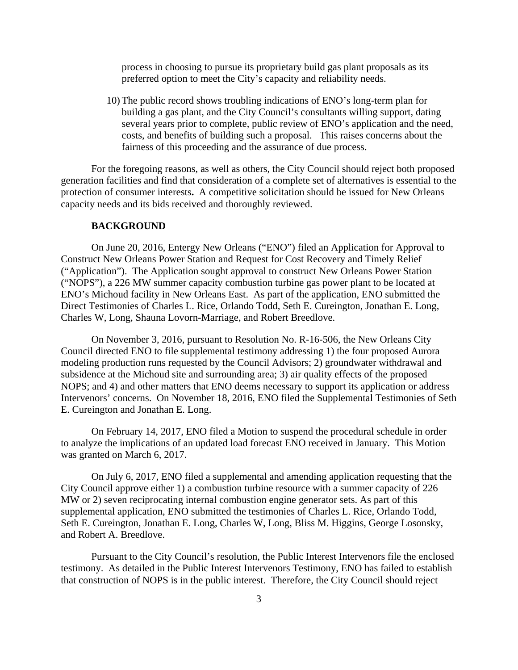process in choosing to pursue its proprietary build gas plant proposals as its preferred option to meet the City's capacity and reliability needs.

10) The public record shows troubling indications of ENO's long-term plan for building a gas plant, and the City Council's consultants willing support, dating several years prior to complete, public review of ENO's application and the need, costs, and benefits of building such a proposal. This raises concerns about the fairness of this proceeding and the assurance of due process.

For the foregoing reasons, as well as others, the City Council should reject both proposed generation facilities and find that consideration of a complete set of alternatives is essential to the protection of consumer interests**.** A competitive solicitation should be issued for New Orleans capacity needs and its bids received and thoroughly reviewed.

## **BACKGROUND**

On June 20, 2016, Entergy New Orleans ("ENO") filed an Application for Approval to Construct New Orleans Power Station and Request for Cost Recovery and Timely Relief ("Application"). The Application sought approval to construct New Orleans Power Station ("NOPS"), a 226 MW summer capacity combustion turbine gas power plant to be located at ENO's Michoud facility in New Orleans East. As part of the application, ENO submitted the Direct Testimonies of Charles L. Rice, Orlando Todd, Seth E. Cureington, Jonathan E. Long, Charles W, Long, Shauna Lovorn-Marriage, and Robert Breedlove.

On November 3, 2016, pursuant to Resolution No. R-16-506, the New Orleans City Council directed ENO to file supplemental testimony addressing 1) the four proposed Aurora modeling production runs requested by the Council Advisors; 2) groundwater withdrawal and subsidence at the Michoud site and surrounding area; 3) air quality effects of the proposed NOPS; and 4) and other matters that ENO deems necessary to support its application or address Intervenors' concerns. On November 18, 2016, ENO filed the Supplemental Testimonies of Seth E. Cureington and Jonathan E. Long.

On February 14, 2017, ENO filed a Motion to suspend the procedural schedule in order to analyze the implications of an updated load forecast ENO received in January. This Motion was granted on March 6, 2017.

On July 6, 2017, ENO filed a supplemental and amending application requesting that the City Council approve either 1) a combustion turbine resource with a summer capacity of 226 MW or 2) seven reciprocating internal combustion engine generator sets. As part of this supplemental application, ENO submitted the testimonies of Charles L. Rice, Orlando Todd, Seth E. Cureington, Jonathan E. Long, Charles W, Long, Bliss M. Higgins, George Losonsky, and Robert A. Breedlove.

Pursuant to the City Council's resolution, the Public Interest Intervenors file the enclosed testimony. As detailed in the Public Interest Intervenors Testimony, ENO has failed to establish that construction of NOPS is in the public interest. Therefore, the City Council should reject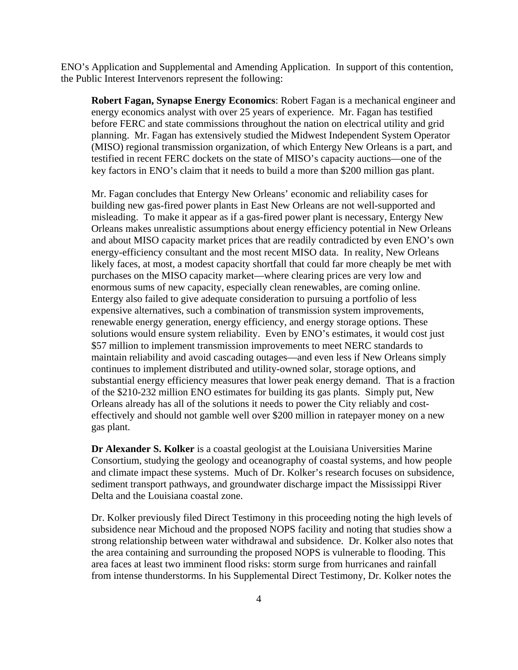ENO's Application and Supplemental and Amending Application. In support of this contention, the Public Interest Intervenors represent the following:

**Robert Fagan, Synapse Energy Economics**: Robert Fagan is a mechanical engineer and energy economics analyst with over 25 years of experience. Mr. Fagan has testified before FERC and state commissions throughout the nation on electrical utility and grid planning. Mr. Fagan has extensively studied the Midwest Independent System Operator (MISO) regional transmission organization, of which Entergy New Orleans is a part, and testified in recent FERC dockets on the state of MISO's capacity auctions—one of the key factors in ENO's claim that it needs to build a more than \$200 million gas plant.

Mr. Fagan concludes that Entergy New Orleans' economic and reliability cases for building new gas-fired power plants in East New Orleans are not well-supported and misleading. To make it appear as if a gas-fired power plant is necessary, Entergy New Orleans makes unrealistic assumptions about energy efficiency potential in New Orleans and about MISO capacity market prices that are readily contradicted by even ENO's own energy-efficiency consultant and the most recent MISO data. In reality, New Orleans likely faces, at most, a modest capacity shortfall that could far more cheaply be met with purchases on the MISO capacity market—where clearing prices are very low and enormous sums of new capacity, especially clean renewables, are coming online. Entergy also failed to give adequate consideration to pursuing a portfolio of less expensive alternatives, such a combination of transmission system improvements, renewable energy generation, energy efficiency, and energy storage options. These solutions would ensure system reliability. Even by ENO's estimates, it would cost just \$57 million to implement transmission improvements to meet NERC standards to maintain reliability and avoid cascading outages—and even less if New Orleans simply continues to implement distributed and utility-owned solar, storage options, and substantial energy efficiency measures that lower peak energy demand. That is a fraction of the \$210-232 million ENO estimates for building its gas plants. Simply put, New Orleans already has all of the solutions it needs to power the City reliably and costeffectively and should not gamble well over \$200 million in ratepayer money on a new gas plant.

**Dr Alexander S. Kolker** is a coastal geologist at the Louisiana Universities Marine Consortium, studying the geology and oceanography of coastal systems, and how people and climate impact these systems. Much of Dr. Kolker's research focuses on subsidence, sediment transport pathways, and groundwater discharge impact the Mississippi River Delta and the Louisiana coastal zone.

Dr. Kolker previously filed Direct Testimony in this proceeding noting the high levels of subsidence near Michoud and the proposed NOPS facility and noting that studies show a strong relationship between water withdrawal and subsidence. Dr. Kolker also notes that the area containing and surrounding the proposed NOPS is vulnerable to flooding. This area faces at least two imminent flood risks: storm surge from hurricanes and rainfall from intense thunderstorms. In his Supplemental Direct Testimony, Dr. Kolker notes the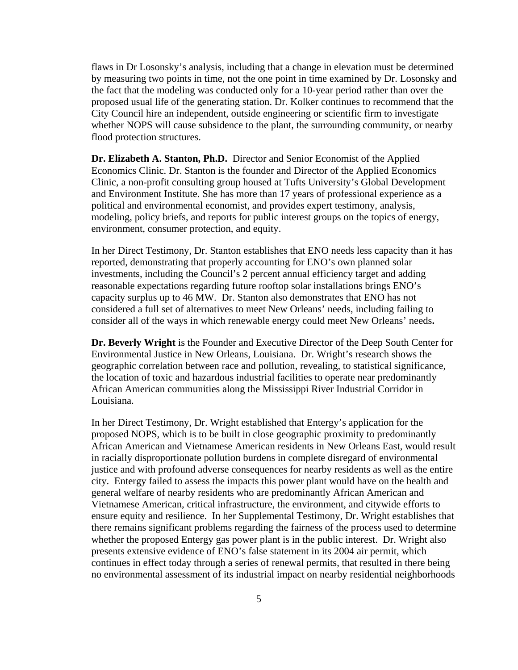flaws in Dr Losonsky's analysis, including that a change in elevation must be determined by measuring two points in time, not the one point in time examined by Dr. Losonsky and the fact that the modeling was conducted only for a 10-year period rather than over the proposed usual life of the generating station. Dr. Kolker continues to recommend that the City Council hire an independent, outside engineering or scientific firm to investigate whether NOPS will cause subsidence to the plant, the surrounding community, or nearby flood protection structures.

**Dr. Elizabeth A. Stanton, Ph.D.** Director and Senior Economist of the Applied Economics Clinic. Dr. Stanton is the founder and Director of the Applied Economics Clinic, a non-profit consulting group housed at Tufts University's Global Development and Environment Institute. She has more than 17 years of professional experience as a political and environmental economist, and provides expert testimony, analysis, modeling, policy briefs, and reports for public interest groups on the topics of energy, environment, consumer protection, and equity.

In her Direct Testimony, Dr. Stanton establishes that ENO needs less capacity than it has reported, demonstrating that properly accounting for ENO's own planned solar investments, including the Council's 2 percent annual efficiency target and adding reasonable expectations regarding future rooftop solar installations brings ENO's capacity surplus up to 46 MW. Dr. Stanton also demonstrates that ENO has not considered a full set of alternatives to meet New Orleans' needs, including failing to consider all of the ways in which renewable energy could meet New Orleans' needs**.**

**Dr. Beverly Wright** is the Founder and Executive Director of the Deep South Center for Environmental Justice in New Orleans, Louisiana. Dr. Wright's research shows the geographic correlation between race and pollution, revealing, to statistical significance, the location of toxic and hazardous industrial facilities to operate near predominantly African American communities along the Mississippi River Industrial Corridor in Louisiana.

In her Direct Testimony, Dr. Wright established that Entergy's application for the proposed NOPS, which is to be built in close geographic proximity to predominantly African American and Vietnamese American residents in New Orleans East, would result in racially disproportionate pollution burdens in complete disregard of environmental justice and with profound adverse consequences for nearby residents as well as the entire city. Entergy failed to assess the impacts this power plant would have on the health and general welfare of nearby residents who are predominantly African American and Vietnamese American, critical infrastructure, the environment, and citywide efforts to ensure equity and resilience. In her Supplemental Testimony, Dr. Wright establishes that there remains significant problems regarding the fairness of the process used to determine whether the proposed Entergy gas power plant is in the public interest. Dr. Wright also presents extensive evidence of ENO's false statement in its 2004 air permit, which continues in effect today through a series of renewal permits, that resulted in there being no environmental assessment of its industrial impact on nearby residential neighborhoods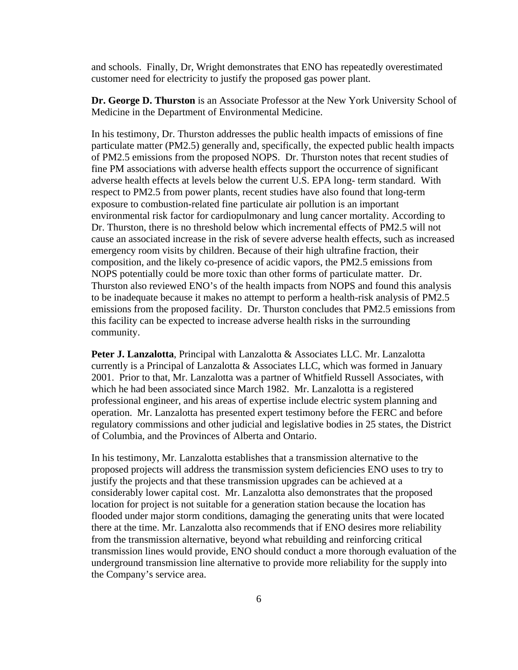and schools. Finally, Dr, Wright demonstrates that ENO has repeatedly overestimated customer need for electricity to justify the proposed gas power plant.

**Dr. George D. Thurston** is an Associate Professor at the New York University School of Medicine in the Department of Environmental Medicine.

In his testimony, Dr. Thurston addresses the public health impacts of emissions of fine particulate matter (PM2.5) generally and, specifically, the expected public health impacts of PM2.5 emissions from the proposed NOPS. Dr. Thurston notes that recent studies of fine PM associations with adverse health effects support the occurrence of significant adverse health effects at levels below the current U.S. EPA long- term standard. With respect to PM2.5 from power plants, recent studies have also found that long-term exposure to combustion-related fine particulate air pollution is an important environmental risk factor for cardiopulmonary and lung cancer mortality. According to Dr. Thurston, there is no threshold below which incremental effects of PM2.5 will not cause an associated increase in the risk of severe adverse health effects, such as increased emergency room visits by children. Because of their high ultrafine fraction, their composition, and the likely co-presence of acidic vapors, the PM2.5 emissions from NOPS potentially could be more toxic than other forms of particulate matter. Dr. Thurston also reviewed ENO's of the health impacts from NOPS and found this analysis to be inadequate because it makes no attempt to perform a health-risk analysis of PM2.5 emissions from the proposed facility. Dr. Thurston concludes that PM2.5 emissions from this facility can be expected to increase adverse health risks in the surrounding community.

**Peter J. Lanzalotta**, Principal with Lanzalotta & Associates LLC. Mr. Lanzalotta currently is a Principal of Lanzalotta & Associates LLC, which was formed in January 2001. Prior to that, Mr. Lanzalotta was a partner of Whitfield Russell Associates, with which he had been associated since March 1982. Mr. Lanzalotta is a registered professional engineer, and his areas of expertise include electric system planning and operation. Mr. Lanzalotta has presented expert testimony before the FERC and before regulatory commissions and other judicial and legislative bodies in 25 states, the District of Columbia, and the Provinces of Alberta and Ontario.

In his testimony, Mr. Lanzalotta establishes that a transmission alternative to the proposed projects will address the transmission system deficiencies ENO uses to try to justify the projects and that these transmission upgrades can be achieved at a considerably lower capital cost. Mr. Lanzalotta also demonstrates that the proposed location for project is not suitable for a generation station because the location has flooded under major storm conditions, damaging the generating units that were located there at the time. Mr. Lanzalotta also recommends that if ENO desires more reliability from the transmission alternative, beyond what rebuilding and reinforcing critical transmission lines would provide, ENO should conduct a more thorough evaluation of the underground transmission line alternative to provide more reliability for the supply into the Company's service area.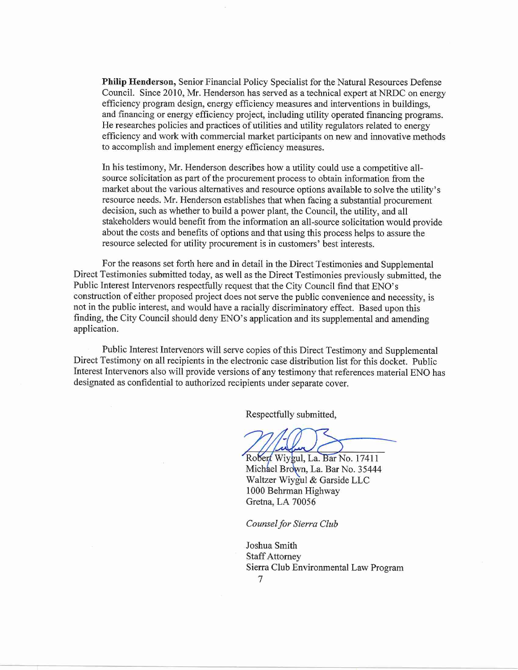Philip Henderson, Senior Financial Policy Specialist for the Natural Resources Defense Council. Since 2010, Mr. Henderson has served as a technical expert at NRDC on energy efficiency program design, energy efficiency measures and interventions in buildings, and financing or energy efficiency project, including utility operated financing programs. He researches policies and practices of utilities and utility regulators related to energy efficiency and work with commercial market participants on new and innovative methods to accomplish and implement energy efficiency measures.

In his testimony, Mr. Henderson describes how a utility could use a competitive allsource solicitation as part of the procurement process to obtain information from the market about the various alternatives and resource options available to solve the utility's resource needs. Mr. Henderson establishes that when facing a substantial procurement decision, such as whether to build a power plant, the Council, the utility, and all stakeholders would benefit from the information an all-source solicitation would provide about the costs and benefits of options and that using this process helps to assure the resource selected for utility procurement is in customers' best interests.

For the reasons set forth here and in detail in the Direct Testimonies and Supplemental Direct Testimonies submitted today, as well as the Direct Testimonies previously submitted, the Public Interest Intervenors respectfully request that the City Council find that ENO's construction of either proposed project does not serve the public convenience and necessity, is not in the public interest, and would have a racially discriminatory effect. Based upon this finding, the City Council should deny ENO's application and its supplemental and amending application.

Public Interest Intervenors will serve copies of this Direct Testimony and Supplemental Direct Testimony on all recipients in the electronic case distribution list for this docket. Public Interest Intervenors also will provide versions of any testimony that references material ENO has designated as confidential to authorized recipients under separate cover.

Respectfully submitted,

Robert Wiygul, La. Bar No. 17411 Michael Brown, La. Bar No. 35444 Waltzer Wiygul & Garside LLC 1000 Behrman Highway Gretna, LA 70056

Counsel for Sierra Club

Joshua Smith **Staff Attorney** Sierra Club Environmental Law Program

7